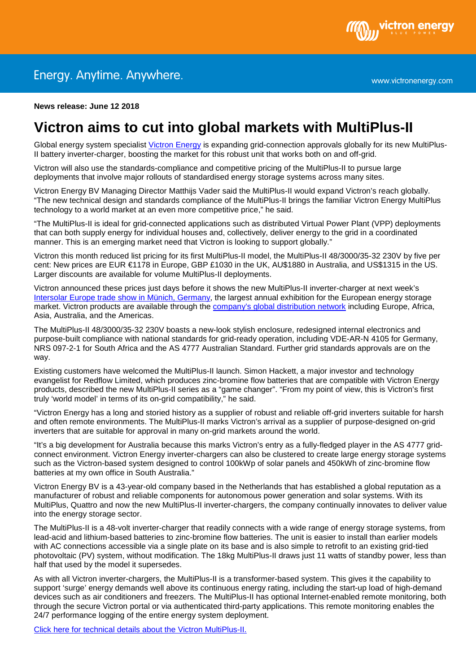

**News release: June 12 2018** 

## **Victron aims to cut into global markets with MultiPlus-II**

Global energy system specialist [Victron Energy](http://www.victronenergy.com/) is expanding grid-connection approvals globally for its new MultiPlus-II battery inverter-charger, boosting the market for this robust unit that works both on and off-grid.

Victron will also use the standards-compliance and competitive pricing of the MultiPlus-II to pursue large deployments that involve major rollouts of standardised energy storage systems across many sites.

Victron Energy BV Managing Director Matthijs Vader said the MultiPlus-II would expand Victron's reach globally. "The new technical design and standards compliance of the MultiPlus-II brings the familiar Victron Energy MultiPlus technology to a world market at an even more competitive price," he said.

"The MultiPlus-II is ideal for grid-connected applications such as distributed Virtual Power Plant (VPP) deployments that can both supply energy for individual houses and, collectively, deliver energy to the grid in a coordinated manner. This is an emerging market need that Victron is looking to support globally."

Victron this month reduced list pricing for its first MultiPlus-II model, the MultiPlus-II 48/3000/35-32 230V by five per cent: New prices are EUR €1178 in Europe, GBP £1030 in the UK, AU\$1880 in Australia, and US\$1315 in the US. Larger discounts are available for volume MultiPlus-II deployments.

Victron announced these prices just days before it shows the new MultiPlus-II inverter-charger at next week's [Intersolar Europe trade show in Münich,](https://www.intersolar.de/en/home.html) Germany, the largest annual exhibition for the European energy storage market. Victron products are available through the [company's global distribution network](https://www.victronenergy.com/contact) including Europe, Africa, Asia, Australia, and the Americas.

The MultiPlus-II 48/3000/35-32 230V boasts a new-look stylish enclosure, redesigned internal electronics and purpose-built compliance with national standards for grid-ready operation, including VDE-AR-N 4105 for Germany, NRS 097-2-1 for South Africa and the AS 4777 Australian Standard. Further grid standards approvals are on the way.

Existing customers have welcomed the MultiPlus-II launch. Simon Hackett, a major investor and technology evangelist for Redflow Limited, which produces zinc-bromine flow batteries that are compatible with Victron Energy products, described the new MultiPlus-II series as a "game changer". "From my point of view, this is Victron's first truly 'world model' in terms of its on-grid compatibility," he said.

"Victron Energy has a long and storied history as a supplier of robust and reliable off-grid inverters suitable for harsh and often remote environments. The MultiPlus-II marks Victron's arrival as a supplier of purpose-designed on-grid inverters that are suitable for approval in many on-grid markets around the world.

"It's a big development for Australia because this marks Victron's entry as a fully-fledged player in the AS 4777 gridconnect environment. Victron Energy inverter-chargers can also be clustered to create large energy storage systems such as the Victron-based system designed to control 100kWp of solar panels and 450kWh of zinc-bromine flow batteries at my own office in South Australia."

Victron Energy BV is a 43-year-old company based in the Netherlands that has established a global reputation as a manufacturer of robust and reliable components for autonomous power generation and solar systems. With its MultiPlus, Quattro and now the new MultiPlus-II inverter-chargers, the company continually innovates to deliver value into the energy storage sector.

The MultiPlus-II is a 48-volt inverter-charger that readily connects with a wide range of energy storage systems, from lead-acid and lithium-based batteries to zinc-bromine flow batteries. The unit is easier to install than earlier models with AC connections accessible via a single plate on its base and is also simple to retrofit to an existing grid-tied photovoltaic (PV) system, without modification. The 18kg MultiPlus-II draws just 11 watts of standby power, less than half that used by the model it supersedes.

As with all Victron inverter-chargers, the MultiPlus-II is a transformer-based system. This gives it the capability to support 'surge' energy demands well above its continuous energy rating, including the start-up load of high-demand devices such as air conditioners and freezers. The MultiPlus-II has optional Internet-enabled remote monitoring, both through the secure Victron portal or via authenticated third-party applications. This remote monitoring enables the 24/7 performance logging of the entire energy system deployment.

[Click here for technical details about the Victron MultiPlus-II.](https://www.victronenergy.com/inverters-chargers/multiplus-ii)